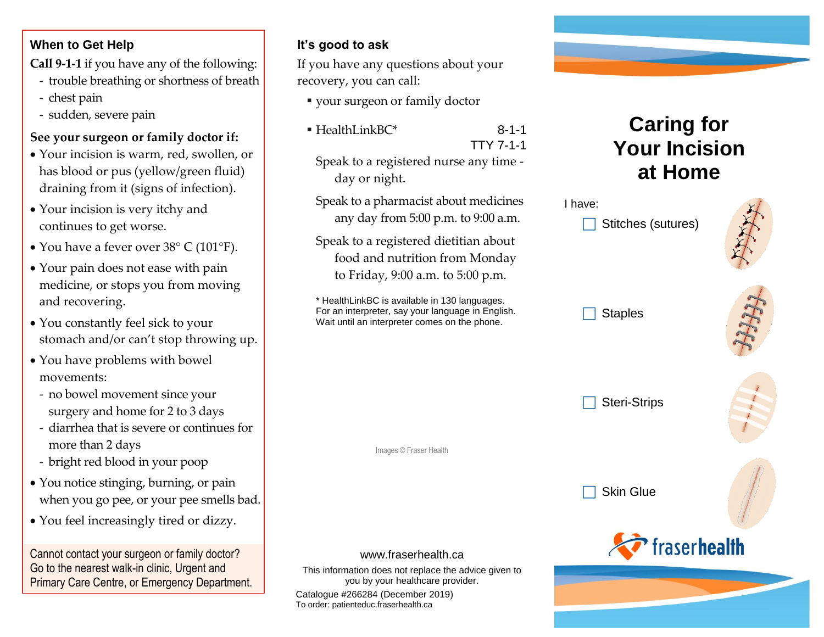#### **When to Get Help**

**Call 9-1-1** if you have any of the following:

- trouble breathing or shortness of breath
- chest pain
- sudden, severe pain

#### **See your surgeon or family doctor if:**

- Your incision is warm, red, swollen, or has blood or pus (yellow/green fluid) draining from it (signs of infection).
- Your incision is very itchy and continues to get worse.
- You have a fever over 38° C (101°F).
- Your pain does not ease with pain medicine, or stops you from moving and recovering.
- You constantly feel sick to your stomach and/or can't stop throwing up.
- You have problems with bowel movements:
	- no bowel movement since your surgery and home for 2 to 3 days
	- diarrhea that is severe or continues for more than 2 days
	- bright red blood in your poop
- You notice stinging, burning, or pain when you go pee, or your pee smells bad.
- You feel increasingly tired or dizzy.

Cannot contact your surgeon or family doctor? Go to the nearest walk-in clinic, Urgent and Primary Care Centre, or Emergency Department.

### **It's good to ask**

If you have any questions about your recovery, you can call:

- your surgeon or family doctor
- $\blacksquare$  HealthLinkBC\* 8-1-1

TTY 7-1-1

Speak to a registered nurse any time day or night.

Speak to a pharmacist about medicines any day from 5:00 p.m. to 9:00 a.m.

Speak to a registered dietitian about food and nutrition from Monday to Friday, 9:00 a.m. to 5:00 p.m.



# **Caring for Your Incision at Home**



#### www.fraserhealth.ca

Images © Fraser Health

This information does not replace the advice given to you by your healthcare provider.

Catalogue #266284 (December 2019) To order: patienteduc.fraserhealth.ca